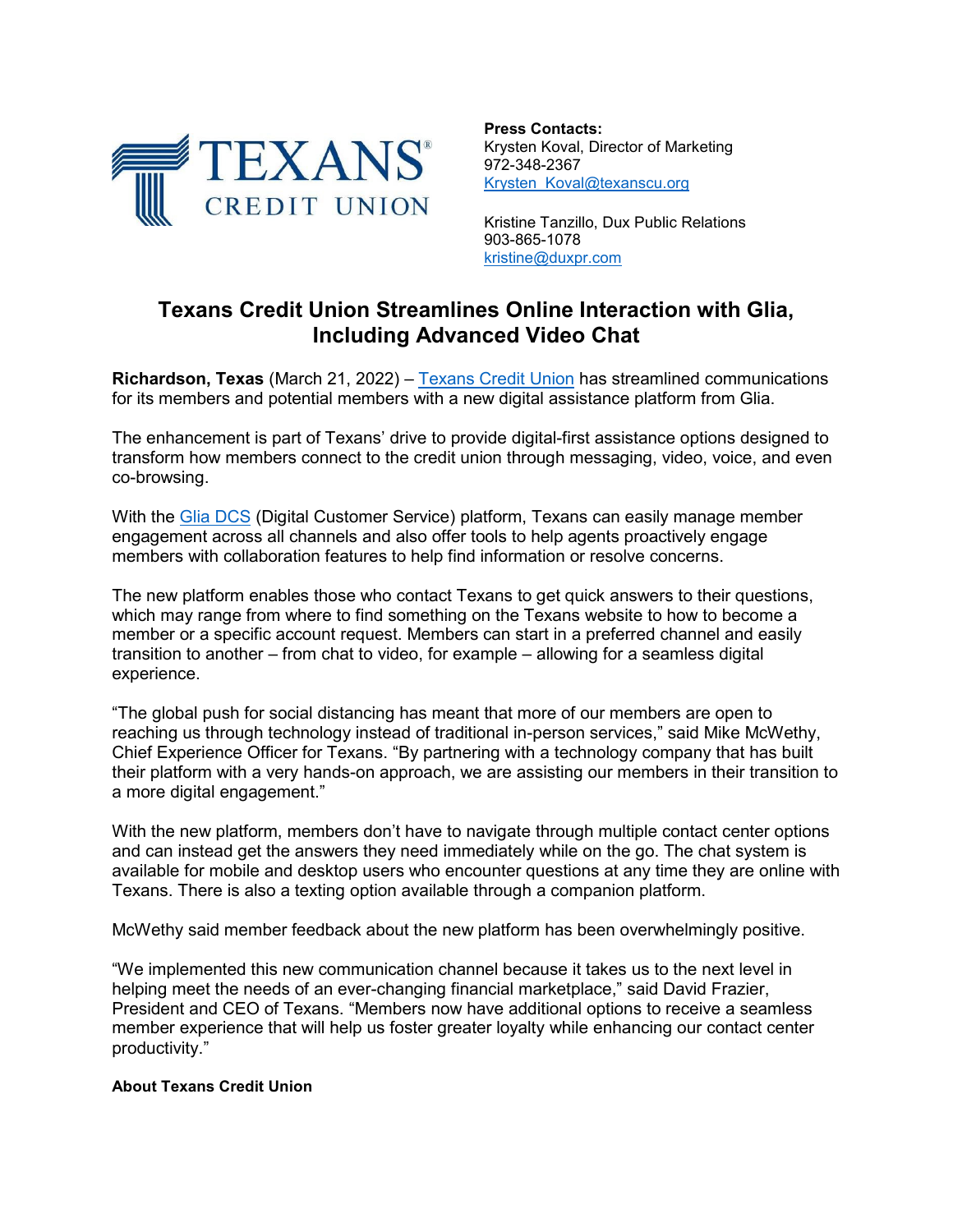

**Press Contacts:** Krysten Koval, Director of Marketing 972-348-2367 Krysten\_Koval@texanscu.org

Kristine Tanzillo, Dux Public Relations 903-865-1078 kristine@duxpr.com

## **Texans Credit Union Streamlines Online Interaction with Glia, Including Advanced Video Chat**

**Richardson, Texas** (March 21, 2022) – [Texans Credit Union](http://www.texanscu.org/) has streamlined communications for its members and potential members with a new digital assistance platform from Glia.

The enhancement is part of Texans' drive to provide digital-first assistance options designed to transform how members connect to the credit union through messaging, video, voice, and even co-browsing.

With the [Glia DCS](https://www.glia.com/digital-customer-service-defined) (Digital Customer Service) platform, Texans can easily manage member engagement across all channels and also offer tools to help agents proactively engage members with collaboration features to help find information or resolve concerns.

The new platform enables those who contact Texans to get quick answers to their questions, which may range from where to find something on the Texans website to how to become a member or a specific account request. Members can start in a preferred channel and easily transition to another – from chat to video, for example – allowing for a seamless digital experience.

"The global push for social distancing has meant that more of our members are open to reaching us through technology instead of traditional in-person services," said Mike McWethy, Chief Experience Officer for Texans. "By partnering with a technology company that has built their platform with a very hands-on approach, we are assisting our members in their transition to a more digital engagement."

With the new platform, members don't have to navigate through multiple contact center options and can instead get the answers they need immediately while on the go. The chat system is available for mobile and desktop users who encounter questions at any time they are online with Texans. There is also a texting option available through a companion platform.

McWethy said member feedback about the new platform has been overwhelmingly positive.

"We implemented this new communication channel because it takes us to the next level in helping meet the needs of an ever-changing financial marketplace," said David Frazier, President and CEO of Texans. "Members now have additional options to receive a seamless member experience that will help us foster greater loyalty while enhancing our contact center productivity."

## **About Texans Credit Union**